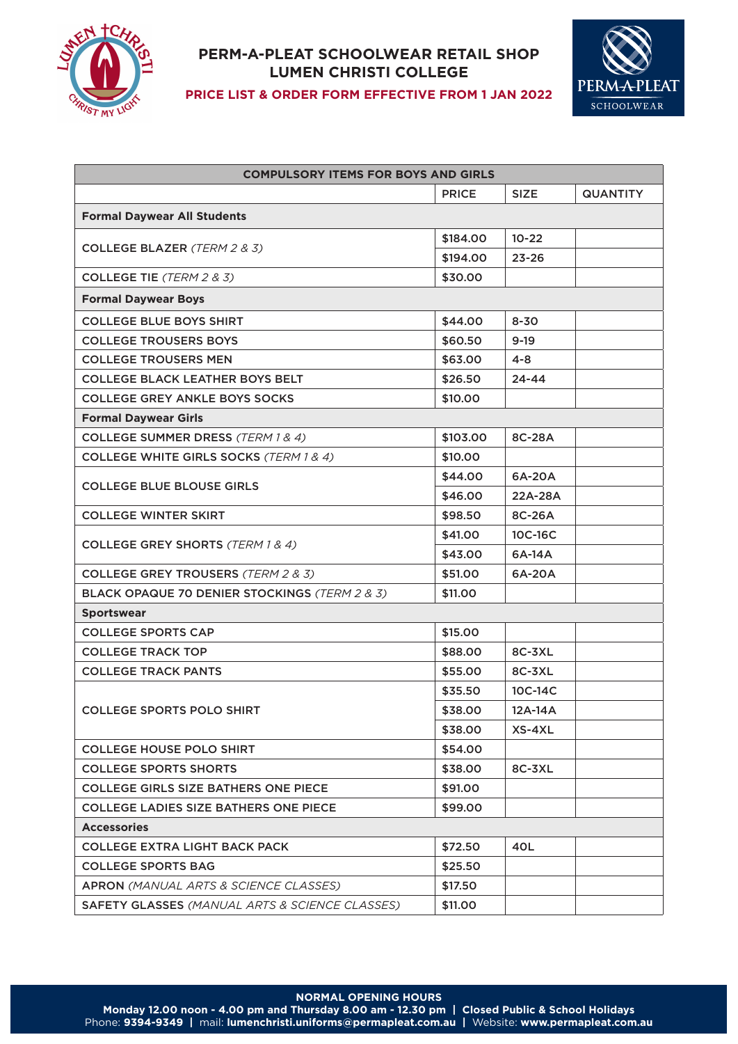

## **PERM-A-PLEAT SCHOOLWEAR RETAIL SHOP LUMEN CHRISTI COLLEGE**



**PRICE LIST & ORDER FORM EFFECTIVE FROM 1 JAN 2022**

| <b>COMPULSORY ITEMS FOR BOYS AND GIRLS</b>            |              |             |                 |  |
|-------------------------------------------------------|--------------|-------------|-----------------|--|
|                                                       | <b>PRICE</b> | <b>SIZE</b> | <b>QUANTITY</b> |  |
| <b>Formal Daywear All Students</b>                    |              |             |                 |  |
| <b>COLLEGE BLAZER (TERM 2 &amp; 3)</b>                | \$184.00     | $10 - 22$   |                 |  |
|                                                       | \$194.00     | $23 - 26$   |                 |  |
| <b>COLLEGE TIE</b> (TERM 2 & 3)                       | \$30.00      |             |                 |  |
| <b>Formal Daywear Boys</b>                            |              |             |                 |  |
| <b>COLLEGE BLUE BOYS SHIRT</b>                        | \$44.00      | $8 - 30$    |                 |  |
| <b>COLLEGE TROUSERS BOYS</b>                          | \$60.50      | $9 - 19$    |                 |  |
| <b>COLLEGE TROUSERS MEN</b>                           | \$63.00      | 4-8         |                 |  |
| <b>COLLEGE BLACK LEATHER BOYS BELT</b>                | \$26.50      | $24 - 44$   |                 |  |
| <b>COLLEGE GREY ANKLE BOYS SOCKS</b>                  | \$10.00      |             |                 |  |
| <b>Formal Daywear Girls</b>                           |              |             |                 |  |
| <b>COLLEGE SUMMER DRESS (TERM 1 &amp; 4)</b>          | \$103.00     | 8C-28A      |                 |  |
| <b>COLLEGE WHITE GIRLS SOCKS (TERM 1 &amp; 4)</b>     | \$10.00      |             |                 |  |
|                                                       | \$44.00      | 6A-20A      |                 |  |
| <b>COLLEGE BLUE BLOUSE GIRLS</b>                      | \$46.00      | 22A-28A     |                 |  |
| <b>COLLEGE WINTER SKIRT</b>                           | \$98,50      | 8C-26A      |                 |  |
|                                                       | \$41.00      | 10C-16C     |                 |  |
| <b>COLLEGE GREY SHORTS (TERM 1 &amp; 4)</b>           | \$43.00      | 6A-14A      |                 |  |
| <b>COLLEGE GREY TROUSERS (TERM 2 &amp; 3)</b>         | \$51.00      | 6A-20A      |                 |  |
| BLACK OPAQUE 70 DENIER STOCKINGS (TERM 2 & 3)         | \$11.00      |             |                 |  |
| <b>Sportswear</b>                                     |              |             |                 |  |
| <b>COLLEGE SPORTS CAP</b>                             | \$15.00      |             |                 |  |
| <b>COLLEGE TRACK TOP</b>                              | \$88.00      | 8C-3XL      |                 |  |
| <b>COLLEGE TRACK PANTS</b>                            | \$55.00      | 8C-3XL      |                 |  |
| <b>COLLEGE SPORTS POLO SHIRT</b>                      | \$35.50      | 10C-14C     |                 |  |
|                                                       | \$38.00      | 12A-14A     |                 |  |
|                                                       | \$38,00      | $XS-4XL$    |                 |  |
| <b>COLLEGE HOUSE POLO SHIRT</b>                       | \$54.00      |             |                 |  |
| <b>COLLEGE SPORTS SHORTS</b>                          | \$38.00      | 8C-3XL      |                 |  |
| <b>COLLEGE GIRLS SIZE BATHERS ONE PIECE</b>           | \$91.00      |             |                 |  |
| <b>COLLEGE LADIES SIZE BATHERS ONE PIECE</b>          | \$99.00      |             |                 |  |
| <b>Accessories</b>                                    |              |             |                 |  |
| <b>COLLEGE EXTRA LIGHT BACK PACK</b>                  | \$72.50      | 40L         |                 |  |
| <b>COLLEGE SPORTS BAG</b>                             | \$25.50      |             |                 |  |
| <b>APRON</b> (MANUAL ARTS & SCIENCE CLASSES)          | \$17.50      |             |                 |  |
| <b>SAFETY GLASSES</b> (MANUAL ARTS & SCIENCE CLASSES) | \$11.00      |             |                 |  |